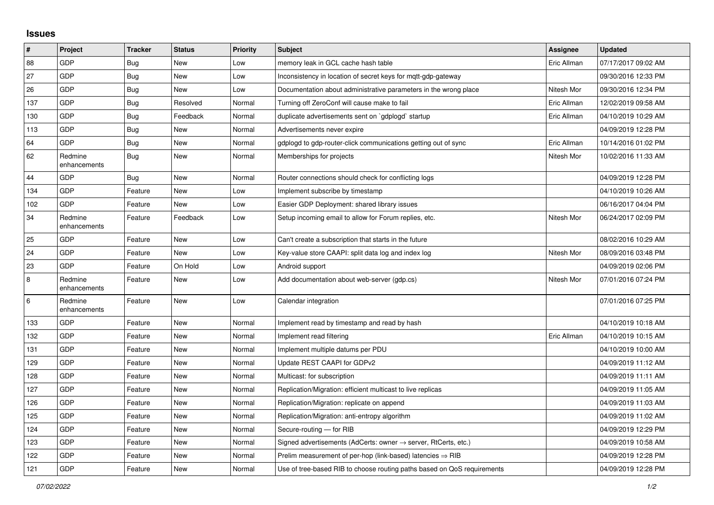## **Issues**

| $\vert$ # | Project                 | <b>Tracker</b> | <b>Status</b> | <b>Priority</b> | <b>Subject</b>                                                             | Assignee    | <b>Updated</b>      |
|-----------|-------------------------|----------------|---------------|-----------------|----------------------------------------------------------------------------|-------------|---------------------|
| 88        | GDP                     | Bug            | <b>New</b>    | Low             | memory leak in GCL cache hash table                                        | Eric Allman | 07/17/2017 09:02 AM |
| 27        | <b>GDP</b>              | Bug            | <b>New</b>    | Low             | Inconsistency in location of secret keys for mgtt-gdp-gateway              |             | 09/30/2016 12:33 PM |
| 26        | GDP                     | Bug            | <b>New</b>    | Low             | Documentation about administrative parameters in the wrong place           | Nitesh Mor  | 09/30/2016 12:34 PM |
| 137       | <b>GDP</b>              | Bug            | Resolved      | Normal          | Turning off ZeroConf will cause make to fail                               | Eric Allman | 12/02/2019 09:58 AM |
| 130       | <b>GDP</b>              | Bug            | Feedback      | Normal          | duplicate advertisements sent on `gdplogd` startup                         | Eric Allman | 04/10/2019 10:29 AM |
| 113       | GDP                     | Bug            | <b>New</b>    | Normal          | Advertisements never expire                                                |             | 04/09/2019 12:28 PM |
| 64        | <b>GDP</b>              | Bug            | <b>New</b>    | Normal          | gdplogd to gdp-router-click communications getting out of sync             | Eric Allman | 10/14/2016 01:02 PM |
| 62        | Redmine<br>enhancements | Bug            | <b>New</b>    | Normal          | Memberships for projects                                                   | Nitesh Mor  | 10/02/2016 11:33 AM |
| 44        | <b>GDP</b>              | Bug            | <b>New</b>    | Normal          | Router connections should check for conflicting logs                       |             | 04/09/2019 12:28 PM |
| 134       | GDP                     | Feature        | <b>New</b>    | Low             | Implement subscribe by timestamp                                           |             | 04/10/2019 10:26 AM |
| 102       | <b>GDP</b>              | Feature        | <b>New</b>    | Low             | Easier GDP Deployment: shared library issues                               |             | 06/16/2017 04:04 PM |
| 34        | Redmine<br>enhancements | Feature        | Feedback      | Low             | Setup incoming email to allow for Forum replies, etc.                      | Nitesh Mor  | 06/24/2017 02:09 PM |
| 25        | <b>GDP</b>              | Feature        | <b>New</b>    | Low             | Can't create a subscription that starts in the future                      |             | 08/02/2016 10:29 AM |
| 24        | <b>GDP</b>              | Feature        | <b>New</b>    | Low             | Key-value store CAAPI: split data log and index log                        | Nitesh Mor  | 08/09/2016 03:48 PM |
| 23        | <b>GDP</b>              | Feature        | On Hold       | Low             | Android support                                                            |             | 04/09/2019 02:06 PM |
| $\bf 8$   | Redmine<br>enhancements | Feature        | <b>New</b>    | Low             | Add documentation about web-server (gdp.cs)                                | Nitesh Mor  | 07/01/2016 07:24 PM |
| $\,6\,$   | Redmine<br>enhancements | Feature        | <b>New</b>    | Low             | Calendar integration                                                       |             | 07/01/2016 07:25 PM |
| 133       | GDP                     | Feature        | <b>New</b>    | Normal          | Implement read by timestamp and read by hash                               |             | 04/10/2019 10:18 AM |
| 132       | <b>GDP</b>              | Feature        | <b>New</b>    | Normal          | Implement read filtering                                                   | Eric Allman | 04/10/2019 10:15 AM |
| 131       | <b>GDP</b>              | Feature        | <b>New</b>    | Normal          | Implement multiple datums per PDU                                          |             | 04/10/2019 10:00 AM |
| 129       | <b>GDP</b>              | Feature        | <b>New</b>    | Normal          | Update REST CAAPI for GDPv2                                                |             | 04/09/2019 11:12 AM |
| 128       | <b>GDP</b>              | Feature        | <b>New</b>    | Normal          | Multicast: for subscription                                                |             | 04/09/2019 11:11 AM |
| 127       | GDP                     | Feature        | <b>New</b>    | Normal          | Replication/Migration: efficient multicast to live replicas                |             | 04/09/2019 11:05 AM |
| 126       | <b>GDP</b>              | Feature        | <b>New</b>    | Normal          | Replication/Migration: replicate on append                                 |             | 04/09/2019 11:03 AM |
| 125       | <b>GDP</b>              | Feature        | <b>New</b>    | Normal          | Replication/Migration: anti-entropy algorithm                              |             | 04/09/2019 11:02 AM |
| 124       | <b>GDP</b>              | Feature        | <b>New</b>    | Normal          | Secure-routing - for RIB                                                   |             | 04/09/2019 12:29 PM |
| 123       | <b>GDP</b>              | Feature        | <b>New</b>    | Normal          | Signed advertisements (AdCerts: owner $\rightarrow$ server, RtCerts, etc.) |             | 04/09/2019 10:58 AM |
| 122       | <b>GDP</b>              | Feature        | <b>New</b>    | Normal          | Prelim measurement of per-hop (link-based) latencies $\Rightarrow$ RIB     |             | 04/09/2019 12:28 PM |
| 121       | GDP                     | Feature        | <b>New</b>    | Normal          | Use of tree-based RIB to choose routing paths based on QoS requirements    |             | 04/09/2019 12:28 PM |